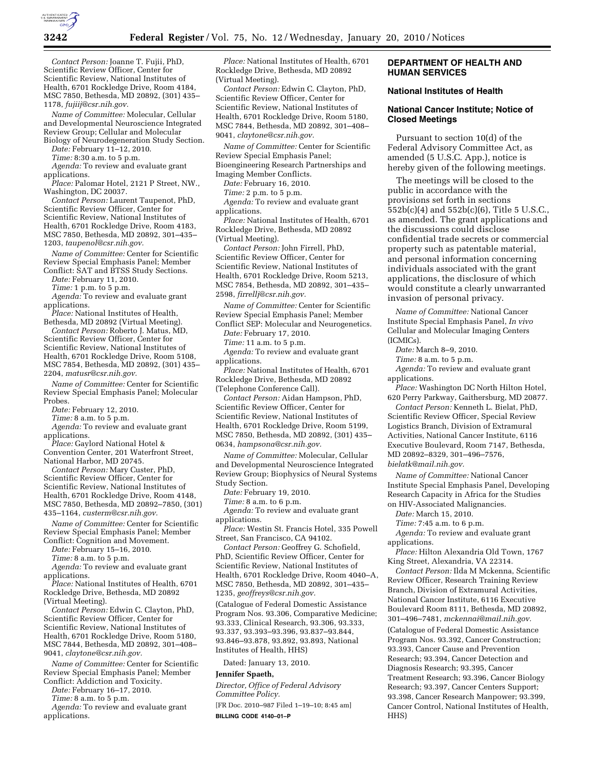

*Contact Person:* Joanne T. Fujii, PhD, Scientific Review Officer, Center for Scientific Review, National Institutes of Health, 6701 Rockledge Drive, Room 4184, MSC 7850, Bethesda, MD 20892, (301) 435– 1178, *fujiij@csr.nih.gov.* 

*Name of Committee:* Molecular, Cellular and Developmental Neuroscience Integrated Review Group; Cellular and Molecular Biology of Neurodegeneration Study Section.

*Date:* February 11–12, 2010.

*Time:* 8:30 a.m. to 5 p.m. *Agenda:* To review and evaluate grant applications.

*Place:* Palomar Hotel, 2121 P Street, NW., Washington, DC 20037.

*Contact Person:* Laurent Taupenot, PhD, Scientific Review Officer, Center for Scientific Review, National Institutes of Health, 6701 Rockledge Drive, Room 4183, MSC 7850, Bethesda, MD 20892, 301–435– 1203, *taupenol@csr.nih.gov.* 

*Name of Committee:* Center for Scientific Review Special Emphasis Panel; Member Conflict: SAT and BTSS Study Sections.

*Date:* February 11, 2010.

*Time:* 1 p.m. to 5 p.m.

*Agenda:* To review and evaluate grant applications.

*Place:* National Institutes of Health, Bethesda, MD 20892 (Virtual Meeting).

*Contact Person:* Roberto J. Matus, MD, Scientific Review Officer, Center for Scientific Review, National Institutes of Health, 6701 Rockledge Drive, Room 5108, MSC 7854, Bethesda, MD 20892, (301) 435– 2204, *matusr@csr.nih.gov.* 

*Name of Committee:* Center for Scientific Review Special Emphasis Panel; Molecular Probes.

*Date:* February 12, 2010.

*Time:* 8 a.m. to 5 p.m.

*Agenda:* To review and evaluate grant applications.

*Place:* Gaylord National Hotel & Convention Center, 201 Waterfront Street, National Harbor, MD 20745.

*Contact Person:* Mary Custer, PhD, Scientific Review Officer, Center for Scientific Review, National Institutes of Health, 6701 Rockledge Drive, Room 4148, MSC 7850, Bethesda, MD 20892–7850, (301) 435–1164, *custerm@csr.nih.gov.* 

*Name of Committee:* Center for Scientific Review Special Emphasis Panel; Member Conflict: Cognition and Movement.

*Date:* February 15–16, 2010.

*Time:* 8 a.m. to 5 p.m.

*Agenda:* To review and evaluate grant applications.

*Place:* National Institutes of Health, 6701 Rockledge Drive, Bethesda, MD 20892 (Virtual Meeting).

*Contact Person:* Edwin C. Clayton, PhD, Scientific Review Officer, Center for Scientific Review, National Institutes of Health, 6701 Rockledge Drive, Room 5180, MSC 7844, Bethesda, MD 20892, 301–408– 9041, *claytone@csr.nih.gov.* 

*Name of Committee:* Center for Scientific Review Special Emphasis Panel; Member Conflict: Addiction and Toxicity.

*Date:* February 16–17, 2010.

*Time:* 8 a.m. to 5 p.m.

*Agenda:* To review and evaluate grant applications.

*Place:* National Institutes of Health, 6701 Rockledge Drive, Bethesda, MD 20892 (Virtual Meeting).

*Contact Person:* Edwin C. Clayton, PhD, Scientific Review Officer, Center for Scientific Review, National Institutes of Health, 6701 Rockledge Drive, Room 5180, MSC 7844, Bethesda, MD 20892, 301–408– 9041, *claytone@csr.nih.gov.* 

*Name of Committee:* Center for Scientific Review Special Emphasis Panel; Bioengineering Research Partnerships and

Imaging Member Conflicts. *Date:* February 16, 2010.

*Time:* 2 p.m. to 5 p.m.

*Agenda:* To review and evaluate grant applications.

*Place:* National Institutes of Health, 6701 Rockledge Drive, Bethesda, MD 20892 (Virtual Meeting).

*Contact Person:* John Firrell, PhD, Scientific Review Officer, Center for Scientific Review, National Institutes of Health, 6701 Rockledge Drive, Room 5213, MSC 7854, Bethesda, MD 20892, 301–435– 2598, *firrellj@csr.nih.gov.* 

*Name of Committee:* Center for Scientific Review Special Emphasis Panel; Member Conflict SEP: Molecular and Neurogenetics.

*Date:* February 17, 2010.

*Time:* 11 a.m. to 5 p.m.

*Agenda:* To review and evaluate grant applications.

*Place:* National Institutes of Health, 6701 Rockledge Drive, Bethesda, MD 20892 (Telephone Conference Call).

*Contact Person:* Aidan Hampson, PhD, Scientific Review Officer, Center for Scientific Review, National Institutes of Health, 6701 Rockledge Drive, Room 5199, MSC 7850, Bethesda, MD 20892, (301) 435– 0634, *hampsona@csr.nih.gov.* 

*Name of Committee:* Molecular, Cellular and Developmental Neuroscience Integrated Review Group; Biophysics of Neural Systems Study Section.

*Date:* February 19, 2010.

*Time:* 8 a.m. to 6 p.m.

*Agenda:* To review and evaluate grant applications.

*Place:* Westin St. Francis Hotel, 335 Powell Street, San Francisco, CA 94102.

*Contact Person:* Geoffrey G. Schofield, PhD, Scientific Review Officer, Center for Scientific Review, National Institutes of Health, 6701 Rockledge Drive, Room 4040–A, MSC 7850, Bethesda, MD 20892, 301–435– 1235, *geoffreys@csr.nih.gov.* 

(Catalogue of Federal Domestic Assistance Program Nos. 93.306, Comparative Medicine; 93.333, Clinical Research, 93.306, 93.333, 93.337, 93.393–93.396, 93.837–93.844, 93.846–93.878, 93.892, 93.893, National Institutes of Health, HHS)

Dated: January 13, 2010.

#### **Jennifer Spaeth,**

*Director, Office of Federal Advisory Committee Policy.* 

[FR Doc. 2010–987 Filed 1–19–10; 8:45 am] **BILLING CODE 4140–01–P** 

### **DEPARTMENT OF HEALTH AND HUMAN SERVICES**

## **National Institutes of Health**

## **National Cancer Institute; Notice of Closed Meetings**

Pursuant to section 10(d) of the Federal Advisory Committee Act, as amended (5 U.S.C. App.), notice is hereby given of the following meetings.

The meetings will be closed to the public in accordance with the provisions set forth in sections 552b(c)(4) and 552b(c)(6), Title 5 U.S.C., as amended. The grant applications and the discussions could disclose confidential trade secrets or commercial property such as patentable material, and personal information concerning individuals associated with the grant applications, the disclosure of which would constitute a clearly unwarranted invasion of personal privacy.

*Name of Committee:* National Cancer Institute Special Emphasis Panel, *In vivo*  Cellular and Molecular Imaging Centers (ICMICs).

*Date:* March 8–9, 2010.

*Time:* 8 a.m. to 5 p.m.

*Agenda:* To review and evaluate grant applications.

*Place:* Washington DC North Hilton Hotel, 620 Perry Parkway, Gaithersburg, MD 20877.

*Contact Person:* Kenneth L. Bielat, PhD, Scientific Review Officer, Special Review Logistics Branch, Division of Extramural Activities, National Cancer Institute, 6116 Executive Boulevard, Room 7147, Bethesda, MD 20892–8329, 301–496–7576, *bielatk@mail.nih.gov.* 

*Name of Committee:* National Cancer Institute Special Emphasis Panel, Developing Research Capacity in Africa for the Studies on HIV-Associated Malignancies.

*Date:* March 15, 2010.

*Time:* 7:45 a.m. to 6 p.m.

*Agenda:* To review and evaluate grant applications.

*Place:* Hilton Alexandria Old Town, 1767 King Street, Alexandria, VA 22314.

*Contact Person:* Ilda M Mckenna, Scientific Review Officer, Research Training Review Branch, Division of Extramural Activities, National Cancer Institute, 6116 Executive Boulevard Room 8111, Bethesda, MD 20892, 301–496–7481, *mckennai@mail.nih.gov.* 

(Catalogue of Federal Domestic Assistance Program Nos. 93.392, Cancer Construction; 93.393, Cancer Cause and Prevention Research; 93.394, Cancer Detection and Diagnosis Research; 93.395, Cancer Treatment Research; 93.396, Cancer Biology Research; 93.397, Cancer Centers Support; 93.398, Cancer Research Manpower; 93.399, Cancer Control, National Institutes of Health, HHS)